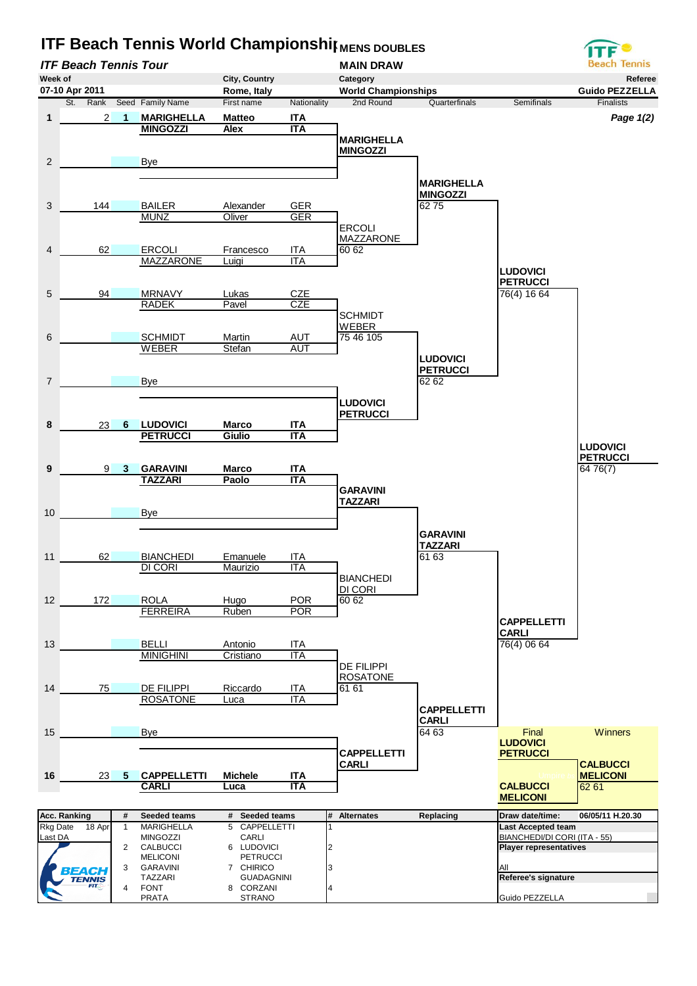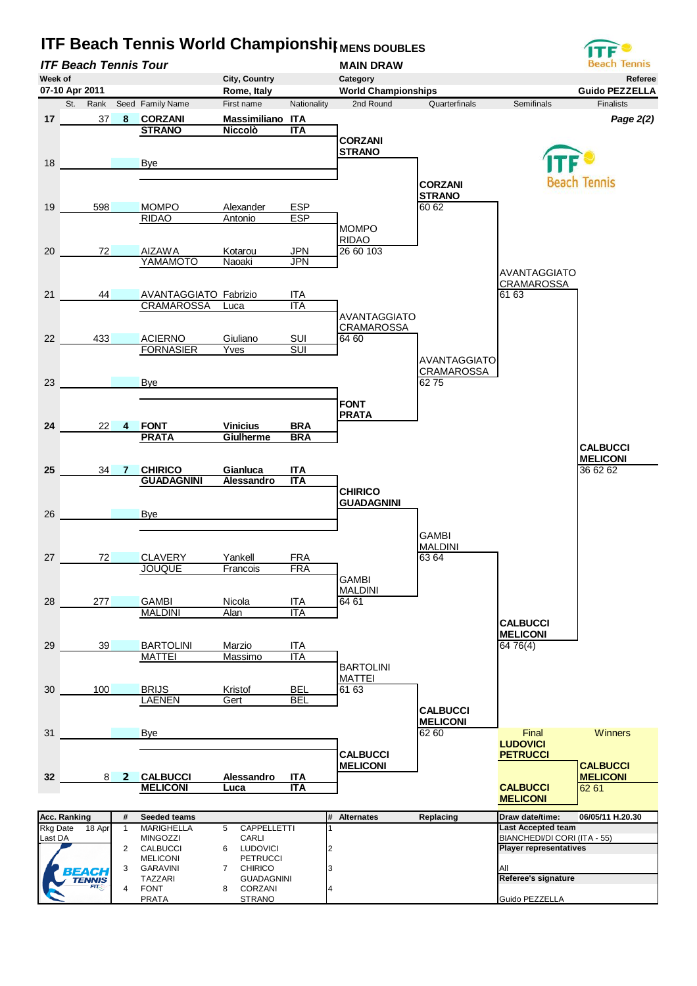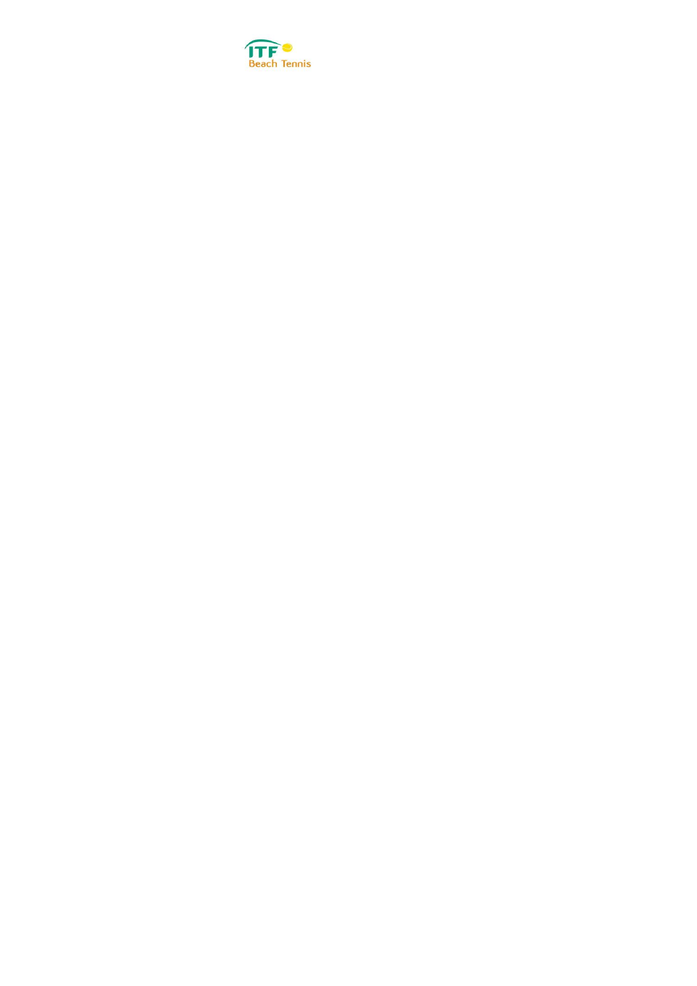